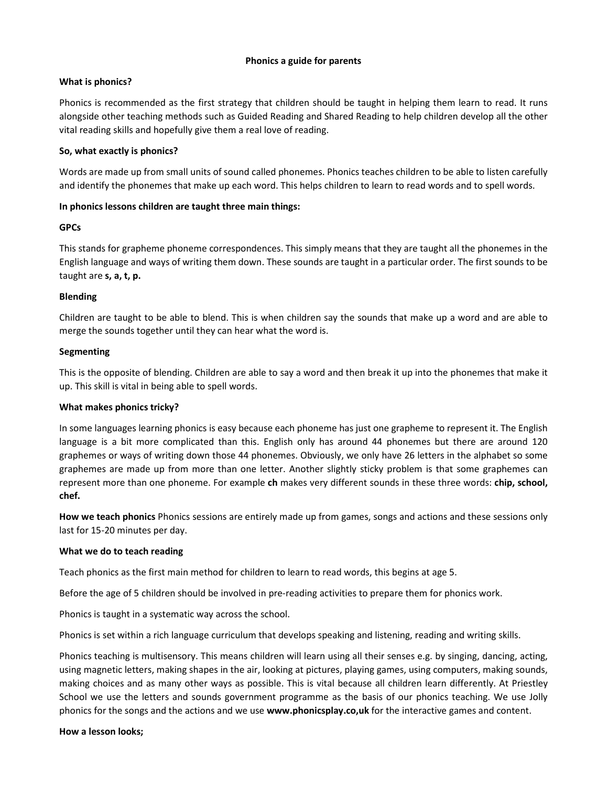### **Phonics a guide for parents**

## **What is phonics?**

Phonics is recommended as the first strategy that children should be taught in helping them learn to read. It runs alongside other teaching methods such as Guided Reading and Shared Reading to help children develop all the other vital reading skills and hopefully give them a real love of reading.

## **So, what exactly is phonics?**

Words are made up from small units of sound called phonemes. Phonics teaches children to be able to listen carefully and identify the phonemes that make up each word. This helps children to learn to read words and to spell words.

## **In phonics lessons children are taught three main things:**

## **GPCs**

This stands for grapheme phoneme correspondences. This simply means that they are taught all the phonemes in the English language and ways of writing them down. These sounds are taught in a particular order. The first sounds to be taught are **s, a, t, p.** 

## **Blending**

Children are taught to be able to blend. This is when children say the sounds that make up a word and are able to merge the sounds together until they can hear what the word is.

## **Segmenting**

This is the opposite of blending. Children are able to say a word and then break it up into the phonemes that make it up. This skill is vital in being able to spell words.

# **What makes phonics tricky?**

In some languages learning phonics is easy because each phoneme has just one grapheme to represent it. The English language is a bit more complicated than this. English only has around 44 phonemes but there are around 120 graphemes or ways of writing down those 44 phonemes. Obviously, we only have 26 letters in the alphabet so some graphemes are made up from more than one letter. Another slightly sticky problem is that some graphemes can represent more than one phoneme. For example **ch** makes very different sounds in these three words: **chip, school, chef.** 

**How we teach phonics** Phonics sessions are entirely made up from games, songs and actions and these sessions only last for 15-20 minutes per day.

### **What we do to teach reading**

Teach phonics as the first main method for children to learn to read words, this begins at age 5.

Before the age of 5 children should be involved in pre-reading activities to prepare them for phonics work.

Phonics is taught in a systematic way across the school.

Phonics is set within a rich language curriculum that develops speaking and listening, reading and writing skills.

Phonics teaching is multisensory. This means children will learn using all their senses e.g. by singing, dancing, acting, using magnetic letters, making shapes in the air, looking at pictures, playing games, using computers, making sounds, making choices and as many other ways as possible. This is vital because all children learn differently. At Priestley School we use the letters and sounds government programme as the basis of our phonics teaching. We use Jolly phonics for the songs and the actions and we use **www.phonicsplay.co,uk** for the interactive games and content.

### **How a lesson looks;**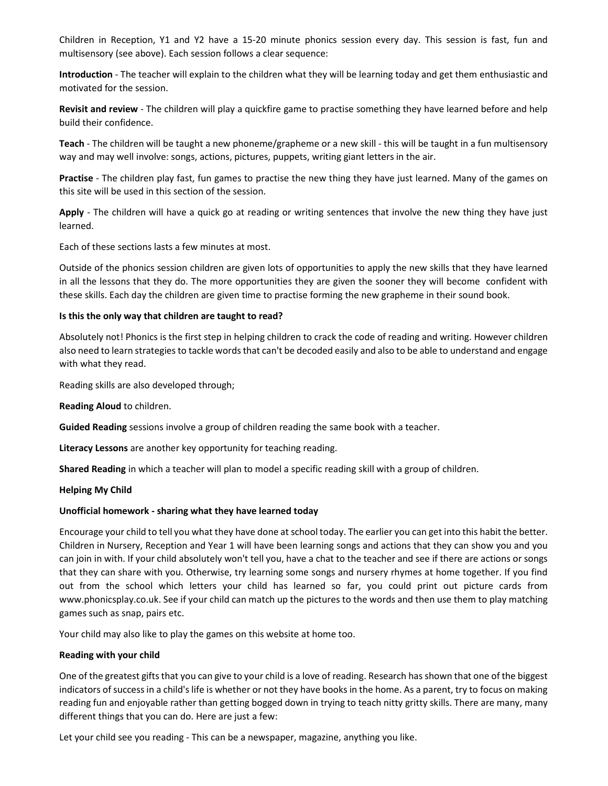Children in Reception, Y1 and Y2 have a 15-20 minute phonics session every day. This session is fast, fun and multisensory (see above). Each session follows a clear sequence:

**Introduction** - The teacher will explain to the children what they will be learning today and get them enthusiastic and motivated for the session.

**Revisit and review** - The children will play a quickfire game to practise something they have learned before and help build their confidence.

**Teach** - The children will be taught a new phoneme/grapheme or a new skill - this will be taught in a fun multisensory way and may well involve: songs, actions, pictures, puppets, writing giant letters in the air.

**Practise** - The children play fast, fun games to practise the new thing they have just learned. Many of the games on this site will be used in this section of the session.

**Apply** - The children will have a quick go at reading or writing sentences that involve the new thing they have just learned.

Each of these sections lasts a few minutes at most.

Outside of the phonics session children are given lots of opportunities to apply the new skills that they have learned in all the lessons that they do. The more opportunities they are given the sooner they will become confident with these skills. Each day the children are given time to practise forming the new grapheme in their sound book.

#### **Is this the only way that children are taught to read?**

Absolutely not! Phonics is the first step in helping children to crack the code of reading and writing. However children also need to learn strategies to tackle words that can't be decoded easily and also to be able to understand and engage with what they read.

Reading skills are also developed through;

**Reading Aloud** to children.

**Guided Reading** sessions involve a group of children reading the same book with a teacher.

**Literacy Lessons** are another key opportunity for teaching reading.

**Shared Reading** in which a teacher will plan to model a specific reading skill with a group of children.

#### **Helping My Child**

#### **Unofficial homework - sharing what they have learned today**

Encourage your child to tell you what they have done at school today. The earlier you can get into this habit the better. Children in Nursery, Reception and Year 1 will have been learning songs and actions that they can show you and you can join in with. If your child absolutely won't tell you, have a chat to the teacher and see if there are actions or songs that they can share with you. Otherwise, try learning some songs and nursery rhymes at home together. If you find out from the school which letters your child has learned so far, you could print out picture cards from www.phonicsplay.co.uk. See if your child can match up the pictures to the words and then use them to play matching games such as snap, pairs etc.

Your child may also like to play the games on this website at home too.

### **Reading with your child**

One of the greatest gifts that you can give to your child is a love of reading. Research has shown that one of the biggest indicators of success in a child's life is whether or not they have books in the home. As a parent, try to focus on making reading fun and enjoyable rather than getting bogged down in trying to teach nitty gritty skills. There are many, many different things that you can do. Here are just a few:

Let your child see you reading - This can be a newspaper, magazine, anything you like.